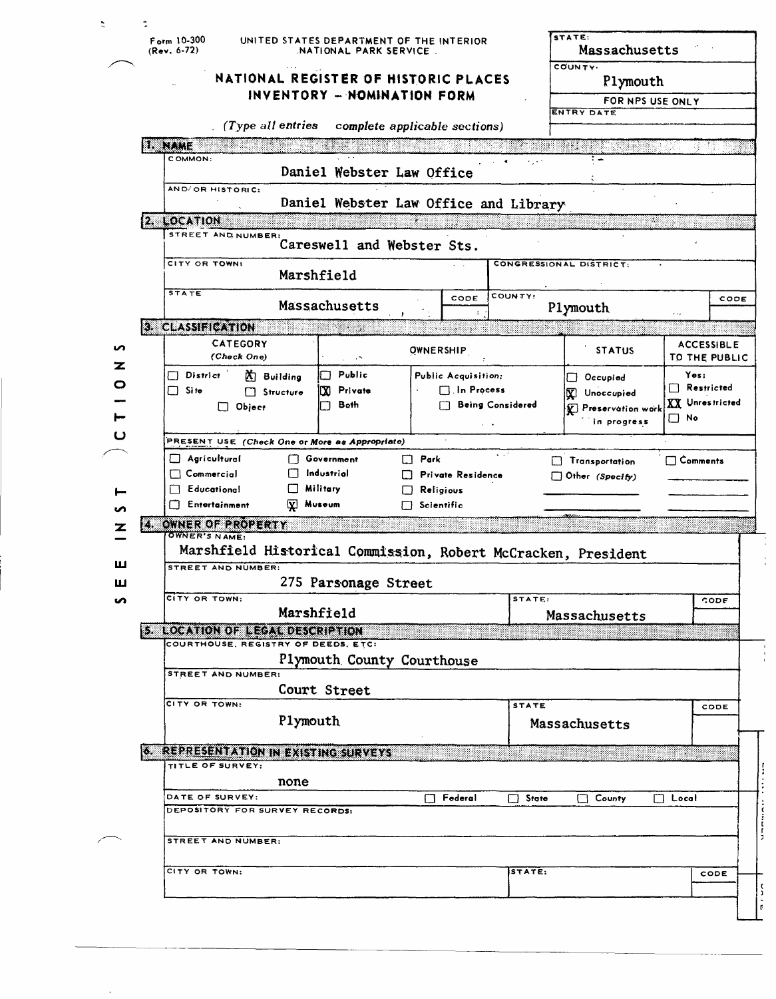|        |                                                                      | $F_{\text{arm}}$ 10-300<br>$(Rev. 6-72)$               | UNITED STATES DEPARTMENT OF THE INTERIOR<br>NATIONAL PARK SERVICE | STATE:                                                                   | Massachusetts                                                 |                                                                                    |  |  |  |  |  |  |  |
|--------|----------------------------------------------------------------------|--------------------------------------------------------|-------------------------------------------------------------------|--------------------------------------------------------------------------|---------------------------------------------------------------|------------------------------------------------------------------------------------|--|--|--|--|--|--|--|
|        |                                                                      |                                                        | NATIONAL REGISTER OF HISTORIC PLACES                              |                                                                          |                                                               | COUNTY.<br>Plymouth                                                                |  |  |  |  |  |  |  |
|        |                                                                      |                                                        | INVENTORY - NOMINATION FORM                                       |                                                                          | FOR NPS USE ONLY                                              |                                                                                    |  |  |  |  |  |  |  |
|        | <b>ENTRY DATE</b><br>(Type all entries complete applicable sections) |                                                        |                                                                   |                                                                          |                                                               |                                                                                    |  |  |  |  |  |  |  |
|        |                                                                      | <b>ENGLISHE</b>                                        |                                                                   |                                                                          | 제품 사람                                                         |                                                                                    |  |  |  |  |  |  |  |
|        |                                                                      | COMMON:                                                |                                                                   |                                                                          |                                                               |                                                                                    |  |  |  |  |  |  |  |
|        |                                                                      | AND/OR HISTORIC:                                       | Daniel Webster Law Office                                         |                                                                          |                                                               |                                                                                    |  |  |  |  |  |  |  |
|        |                                                                      |                                                        | Daniel Webster Law Office and Library                             |                                                                          |                                                               |                                                                                    |  |  |  |  |  |  |  |
|        |                                                                      | 2. LOCATION                                            |                                                                   |                                                                          |                                                               |                                                                                    |  |  |  |  |  |  |  |
|        |                                                                      | STREET AND NUMBER:                                     | Careswell and Webster Sts.                                        |                                                                          |                                                               |                                                                                    |  |  |  |  |  |  |  |
|        |                                                                      | CITY OR TOWN:<br>CONGRESSIONAL DISTRICT:<br>Marshfield |                                                                   |                                                                          |                                                               |                                                                                    |  |  |  |  |  |  |  |
|        |                                                                      | <b>STATE</b>                                           |                                                                   | CODE                                                                     | COUNTY:<br>CODE                                               |                                                                                    |  |  |  |  |  |  |  |
|        |                                                                      |                                                        | Massachusetts                                                     |                                                                          | Plymouth                                                      | $\cdots$                                                                           |  |  |  |  |  |  |  |
|        |                                                                      | 3. CLASSIFICATION<br><b>CATEGORY</b>                   |                                                                   |                                                                          |                                                               | <b>ACCESSIBLE</b><br>TO THE PUBLIC<br>Yes:<br>$\Box$ Restricted<br>XX Unrestricted |  |  |  |  |  |  |  |
| n<br>z |                                                                      | (Check One)                                            | $\omega_{\rm c} = 0.78$                                           | OWNERSHIP                                                                | <b>STATUS</b>                                                 |                                                                                    |  |  |  |  |  |  |  |
| o      |                                                                      | $\Box$ District<br>$X$ Building                        | Public<br>$\Box$                                                  | Public Acquisition:                                                      | $\Box$ Occupied                                               |                                                                                    |  |  |  |  |  |  |  |
|        |                                                                      | $\Box$ Site<br>$\Box$ Structure<br>$\Box$ Object       | Private<br>Œ.<br>Both                                             | $\Box$ In Process<br><b>FT</b> Being Considered                          | V Unoccupied<br>ि Preservation work                           |                                                                                    |  |  |  |  |  |  |  |
|        |                                                                      |                                                        |                                                                   |                                                                          | in progress                                                   | $\Box$ No                                                                          |  |  |  |  |  |  |  |
|        |                                                                      | PRESENT USE (Check One or More as Appropriate)         |                                                                   |                                                                          |                                                               |                                                                                    |  |  |  |  |  |  |  |
|        |                                                                      | Agricultural                                           | Government                                                        | $\Box$ Park                                                              | Transportation                                                | <b>Comments</b>                                                                    |  |  |  |  |  |  |  |
|        |                                                                      | $\Box$ Commercial<br>$\Box$ Educational                | $\Box$ Industrial<br><b>Military</b><br>$\perp$                   | <b>D</b> Private Residence<br>$\Box$ Other (Specify)<br>$\Box$ Religious |                                                               |                                                                                    |  |  |  |  |  |  |  |
|        |                                                                      | $\Box$ Entertainment                                   | Museum<br>$\overline{\mathbf{x}}$                                 | $\Box$ Scientific                                                        |                                                               |                                                                                    |  |  |  |  |  |  |  |
|        |                                                                      | 4. OWNER OF PROPERTY                                   |                                                                   |                                                                          |                                                               |                                                                                    |  |  |  |  |  |  |  |
|        |                                                                      | OWNER'S NAME:                                          |                                                                   |                                                                          | Marshfield Historical Commission, Robert McCracken, President |                                                                                    |  |  |  |  |  |  |  |
| ш      |                                                                      | <b>STREET AND NUMBER:</b>                              |                                                                   |                                                                          |                                                               |                                                                                    |  |  |  |  |  |  |  |
| ш      |                                                                      |                                                        | 275 Parsonage Street                                              |                                                                          |                                                               |                                                                                    |  |  |  |  |  |  |  |
| n      |                                                                      | CITY OR TOWN:                                          | Marshfield                                                        |                                                                          | STATE:<br>Massachusetts                                       | CODE                                                                               |  |  |  |  |  |  |  |
|        |                                                                      | 5. LOCATION OF LEGAL DESCRIPTION                       |                                                                   |                                                                          |                                                               |                                                                                    |  |  |  |  |  |  |  |
|        |                                                                      | COURTHOUSE, REGISTRY OF DEEDS, ETC:                    |                                                                   |                                                                          |                                                               |                                                                                    |  |  |  |  |  |  |  |
|        |                                                                      | <b>STREET AND NUMBER:</b>                              | Plymouth County Courthouse                                        |                                                                          |                                                               |                                                                                    |  |  |  |  |  |  |  |
|        | Court Street                                                         |                                                        |                                                                   |                                                                          |                                                               |                                                                                    |  |  |  |  |  |  |  |
|        |                                                                      | CITY OR TOWN:                                          | Plymouth                                                          |                                                                          | <b>STATE</b>                                                  | CODE                                                                               |  |  |  |  |  |  |  |
|        |                                                                      |                                                        |                                                                   |                                                                          | Massachusetts                                                 |                                                                                    |  |  |  |  |  |  |  |
|        |                                                                      | 6. REPRESENTATION IN EXISTING SURVEYS                  |                                                                   |                                                                          |                                                               |                                                                                    |  |  |  |  |  |  |  |
|        |                                                                      | TITLE OF SURVEY:<br>none                               |                                                                   |                                                                          |                                                               |                                                                                    |  |  |  |  |  |  |  |
|        |                                                                      | DATE OF SURVEY:                                        |                                                                   | Federal                                                                  | $\Box$ State<br>County                                        | $\Box$ Local                                                                       |  |  |  |  |  |  |  |
|        |                                                                      | DEPOSITORY FOR SURVEY RECORDS:                         |                                                                   |                                                                          |                                                               |                                                                                    |  |  |  |  |  |  |  |
|        |                                                                      | STREET AND NUMBER:                                     |                                                                   |                                                                          |                                                               |                                                                                    |  |  |  |  |  |  |  |
|        |                                                                      | CITY OR TOWN:                                          |                                                                   |                                                                          | STATE:                                                        | CODE                                                                               |  |  |  |  |  |  |  |
|        |                                                                      |                                                        |                                                                   |                                                                          |                                                               |                                                                                    |  |  |  |  |  |  |  |

 $\ddot{\phantom{0}}$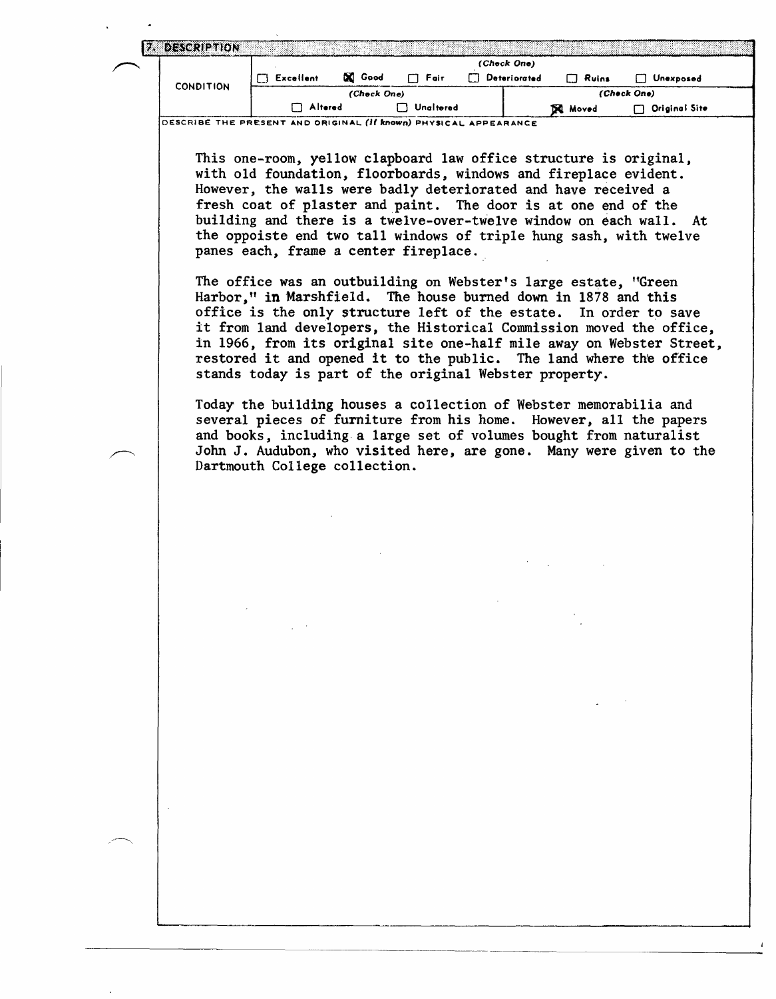|                                                                     | (Check One)                                                                                                                                                                                                                                                                                                         |        |             |  |              |              |                                                                    |  |  |  |
|---------------------------------------------------------------------|---------------------------------------------------------------------------------------------------------------------------------------------------------------------------------------------------------------------------------------------------------------------------------------------------------------------|--------|-------------|--|--------------|--------------|--------------------------------------------------------------------|--|--|--|
| <b>CONDITION</b>                                                    | $\Box$ Excellent                                                                                                                                                                                                                                                                                                    | X Good | $\Box$ Fair |  | Deteriorated | $\Box$ Ruins | Unexposed                                                          |  |  |  |
|                                                                     | (Check One)                                                                                                                                                                                                                                                                                                         |        |             |  |              | (Check One)  |                                                                    |  |  |  |
| Altered<br>$\Box$ Unaltered<br>$\Box$ Original Site<br><b>Noved</b> |                                                                                                                                                                                                                                                                                                                     |        |             |  |              |              |                                                                    |  |  |  |
|                                                                     | with old foundation, floorboards, windows and fireplace evident.<br>However, the walls were badly deteriorated and have received a<br>fresh coat of plaster and paint. The door is at one end of the<br>the oppoiste end two tall windows of triple hung sash, with twelve<br>panes each, frame a center fireplace. |        |             |  |              |              | building and there is a twelve-over-twelve window on each wall. At |  |  |  |

several pieces of furniture from his home. However, all the papers and books, including a large set of volumes bought from naturalist John J. Audubon, who visited here, are gone. Many were given to the Dartmouth College collection.

 $\overline{1}$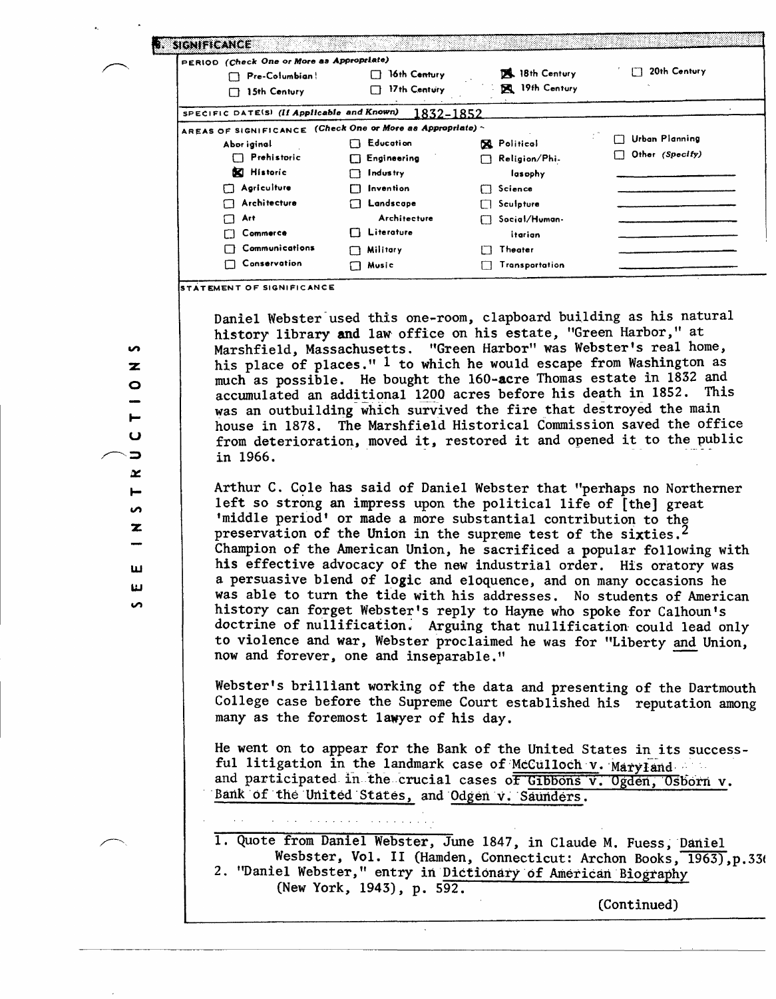| PERIOD (Check One or More as Appropriate)                  |                  |                    |                       |
|------------------------------------------------------------|------------------|--------------------|-----------------------|
| Pre-Columbian!                                             | 16th Century     | 18th Century       | 20th Century<br>П     |
| 15th Century<br>П                                          | 17th Century     | 19th Century       |                       |
| SPECIFIC DATE(S) (If Applicable and Known)                 | 1832–1852        |                    |                       |
| AREAS OF SIGNIFICANCE (Check One or More as Appropriate) ~ |                  |                    |                       |
| Abor iginal                                                | <b>Education</b> | <b>R</b> Political | <b>Urban Planning</b> |
| Prehistoric                                                | Engineering<br>П | Religion/Phi-      | Other (Specify)       |
| <b>N</b> Historic                                          | <b>Industry</b>  | lasophy            |                       |
| Agriculture<br>П                                           | Invention        | Science            |                       |
| Architecture                                               | Landscape        | Sculpture          |                       |
| Art                                                        | Architecture     | Social/Human-      |                       |
| Commerce                                                   | Literature       | itarian            |                       |
| Communications                                             | <b>Military</b>  | Theater            |                       |
| Conservation                                               | Music            | Transportation     |                       |

Daniel Webster used this one-room, clapboard building as his natural history library and law office on his estate, "Green Harbor," at Marshfield, Massachusetts. "Green Harbor" was Webster's real home, his place of places." <sup>1</sup> to which he would escape from Washington as much as possible. He bought the 160-acre Thomas estate in 1832 and accumulated an additional 120Q acres before his death in 1852. This was an outbuilding which survived the fire that destroyed the main house in 1878. The Marshfield Historical Commission saved the office from deterioration, moved it, restored it and opened it to the public in 1966.

Arthur C. Cole has said of Daniel Webster that "perhaps no Northerner left so strong an impress upon the political life of [the] great 'middle period' or made a more substantial contribution to the preservation of the Union in the supreme test of the sixties.<sup>2</sup> Champion of the American Union, he sacrificed a popular following with his effective advocacy of the new industrial order. His oratory was a persuasive blend of logic and eloquence, and on many occasions he was able to turn the tide with his addresses. No students of American history can forget Webster's reply to Hayne who spoke for Calhoun's doctrine of nullification." Arguing that nullification could lead only to violence and war, Webster proclaimed he was for "Liberty and Union, now and forever, one and inseparable."

Webster's brilliant working of the data and presenting of the Dartmouth College case before the Supreme Court established his reputation among many as the foremost lawyer of his day.

He went on to appear for the Bank of the United States in its successful litigation in the landmark case of McCulloch v. Maryland and participated in the crucial cases of Gibbons  $\overline{v}$ . Ogden, Osborn  $v$ . Bank of the United States, and Odgen v. Saunders.

1. Quote from Daniel Webster, June 1847, in Claude M. Fuess, Daniel Wesbster, Vol. II (Hamden, Connecticut: Archon Books, 1963), p.336 2. "Daniel Webster," entry in Dictionary of American Biography (New York, 1943), p. 592.

(Continued)

 $\sim$ 

Ę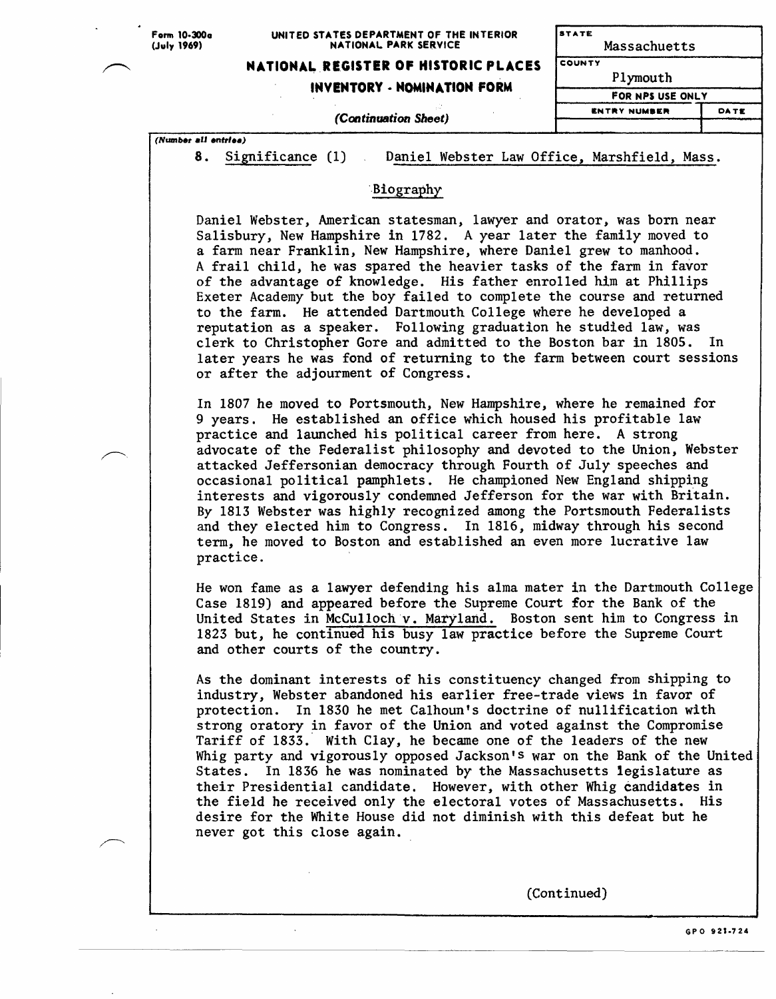#### **UNITED STATES DEPARTMENT OF THE INTERIOR NATIONAL PARK SERVICE**

**STATE** Massachuetts

## **NATIONAL REGISTER OF HISTORIC PLACES**

**(Continuation Sheet)**

## **INVENTORY \* NOMINATION FORM**

| Plymouth            |             |
|---------------------|-------------|
| FOR NPS USE ONLY    |             |
| <b>ENTRY NUMBER</b> | <b>DATE</b> |
|                     |             |

*(Number all entries)* 

8. Significance (1) Daniel Webster Law Office, Marshfield, Mass.

**COUNTY**

### Biography

Daniel Webster, American statesman, lawyer and orator, was born near Salisbury, New Hampshire in 1782. A year later the family moved to a farm near Franklin, New Hampshire, where Daniel grew to manhood. A frail child, he was spared the heavier tasks of the farm in favor of the advantage of knowledge. His father enrolled him at Phillips Exeter Academy but the boy failed to complete the course and returned to the farm. He attended Dartmouth College where he developed a reputation as a speaker. Following graduation he studied law, was clerk to Christopher Gore and admitted to the Boston bar in 1805. In later years he was fond of returning to the farm between court sessions or after the adjourment of Congress.

In 1807 he moved to Portsmouth, New Hampshire, where he remained for 9 years. He established an office which housed his profitable law practice and launched his political career from here. A strong advocate of the Federalist philosophy and devoted to the Union, Webster attacked Jeffersonian democracy through Fourth of July speeches and occasional political pamphlets. He championed New England shipping interests and vigorously condemned Jefferson for the war with Britain. By 1813 Webster was highly recognized among the Portsmouth Federalists and they elected him to Congress. In 1816, midway through his second term, he moved to Boston and established an even more lucrative law practice.

He won fame as a lawyer defending his alma mater in the Dartmouth College Case 1819) and appeared before the Supreme Court for the Bank of the United States in McCulloch v. Maryland. Boston sent him to Congress in 1823 but, he continued his busy law practice before the Supreme Court and other courts of the country.

As the dominant interests of his constituency changed from shipping to industry, Webster abandoned his earlier free-trade views in favor of protection. In 1830 he met Calhoun's doctrine of nullification with strong oratory in favor of the Union and voted against the Compromise Tariff of 1833. With Clay, he became one of the leaders of the new Whig party and vigorously opposed Jackson's war on the Bank of the United States. In 1836 he was nominated by the Massachusetts legislature as their Presidential candidate. However, with other Whig candidates in the field he received only the electoral votes of Massachusetts. His desire for the White House did not diminish with this defeat but he never got this close again.

(Continued)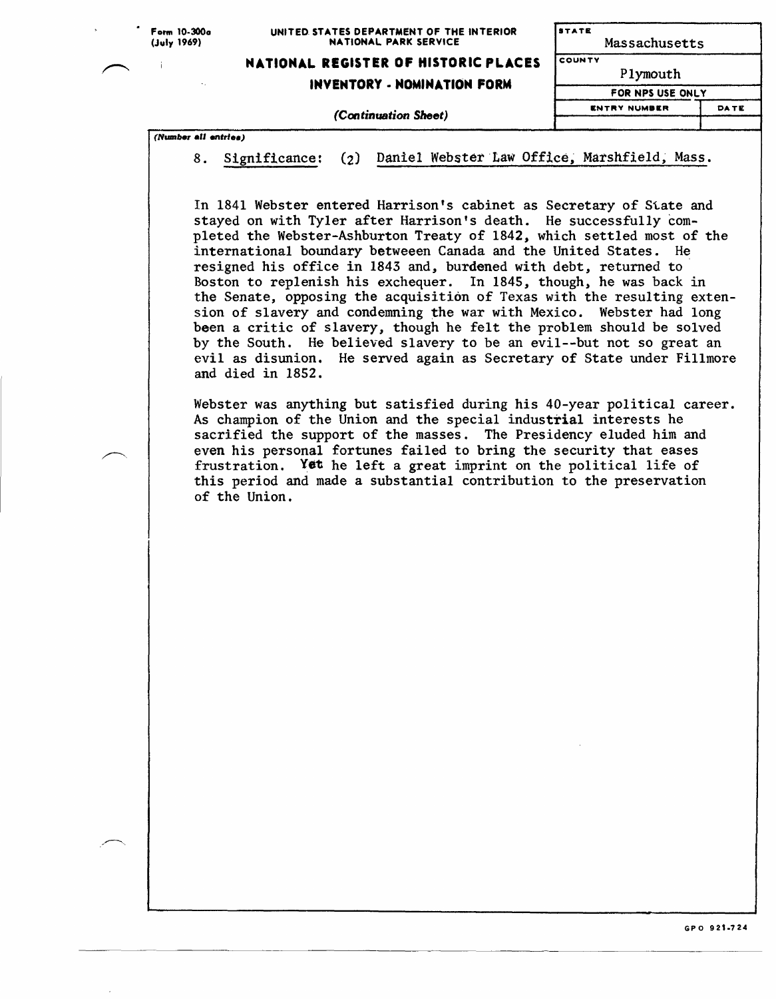| Form 10-300a |
|--------------|
| (July 1969)  |

#### **UNITED STATES DEPARTMENT OF THE INTERIOR NATIONAL PARK SERVICE**

**STATE** 

# **NATIONAL REGISTER OF HISTORIC PLACES**

*(Continuation Sheet)*

**INVENTORY - NOMINATION FORM**

| Massachusetts       |      |
|---------------------|------|
| <b>COUNTY</b>       |      |
| Plymouth            |      |
| FOR NPS USE ONLY    |      |
| <b>ENTRY NUMBER</b> | DATE |
|                     |      |

*(Number all entries)* 

8. Significance: (2) Daniel Webster Law Office, Marshfield, Mass.

In 1841 Webster entered Harrison's cabinet as Secretary of State and stayed on with Tyler after Harrison's death. He successfully completed the Webster-Ashburton Treaty of 1842, which settled most of the international boundary betweeen Canada and the United States. He resigned his office in 1843 and, burdened with debt, returned to Boston to replenish his exchequer. In 1845, though, he was back in the Senate, opposing the acquisition of Texas with the resulting extension of slavery and condemning the war with Mexico. Webster had long been a critic of slavery, though he felt the problem should be solved by the South. He believed slavery to be an evil--but not so great an evil as disunion. He served again as Secretary of State under Fillmore and died in 1852.

Webster was anything but satisfied during his 40-year political career. As champion of the Union and the special industrial interests he sacrified the support of the masses. The Presidency eluded him and even his personal fortunes failed to bring the security that eases frustration. Yet he left a great imprint on the political life of this period and made a substantial contribution to the preservation of the Union.